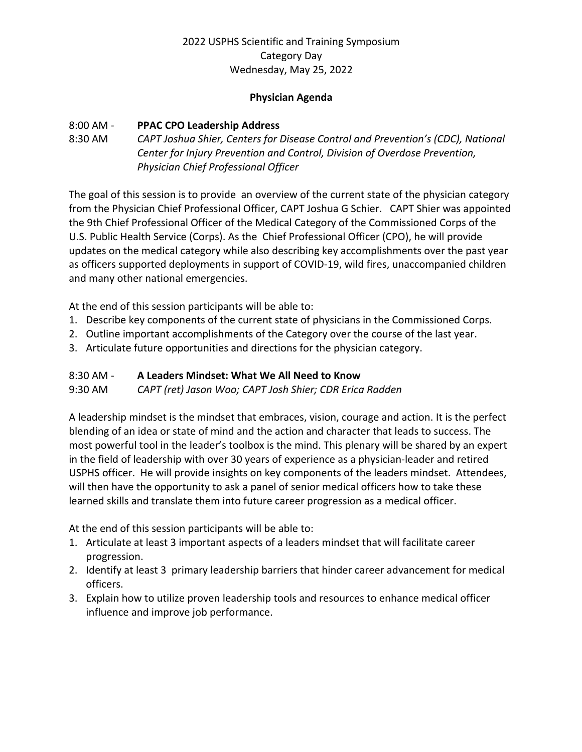#### **Physician Agenda**

### 8:00 AM - **PPAC CPO Leadership Address**

# 8:30 AM *CAPT Joshua Shier, Centers for Disease Control and Prevention's (CDC), National Center for Injury Prevention and Control, Division of Overdose Prevention, Physician Chief Professional Officer*

The goal of this session is to provide an overview of the current state of the physician category from the Physician Chief Professional Officer, CAPT Joshua G Schier. CAPT Shier was appointed the 9th Chief Professional Officer of the Medical Category of the Commissioned Corps of the U.S. Public Health Service (Corps). As the Chief Professional Officer (CPO), he will provide updates on the medical category while also describing key accomplishments over the past year as officers supported deployments in support of COVID-19, wild fires, unaccompanied children and many other national emergencies.

At the end of this session participants will be able to:

- 1. Describe key components of the current state of physicians in the Commissioned Corps.
- 2. Outline important accomplishments of the Category over the course of the last year.
- 3. Articulate future opportunities and directions for the physician category.

#### 8:30 AM - **A Leaders Mindset: What We All Need to Know**

9:30 AM *CAPT (ret) Jason Woo; CAPT Josh Shier; CDR Erica Radden* 

A leadership mindset is the mindset that embraces, vision, courage and action. It is the perfect blending of an idea or state of mind and the action and character that leads to success. The most powerful tool in the leader's toolbox is the mind. This plenary will be shared by an expert in the field of leadership with over 30 years of experience as a physician-leader and retired USPHS officer. He will provide insights on key components of the leaders mindset. Attendees, will then have the opportunity to ask a panel of senior medical officers how to take these learned skills and translate them into future career progression as a medical officer.

At the end of this session participants will be able to:

- 1. Articulate at least 3 important aspects of a leaders mindset that will facilitate career progression.
- 2. Identify at least 3 primary leadership barriers that hinder career advancement for medical officers.
- 3. Explain how to utilize proven leadership tools and resources to enhance medical officer influence and improve job performance.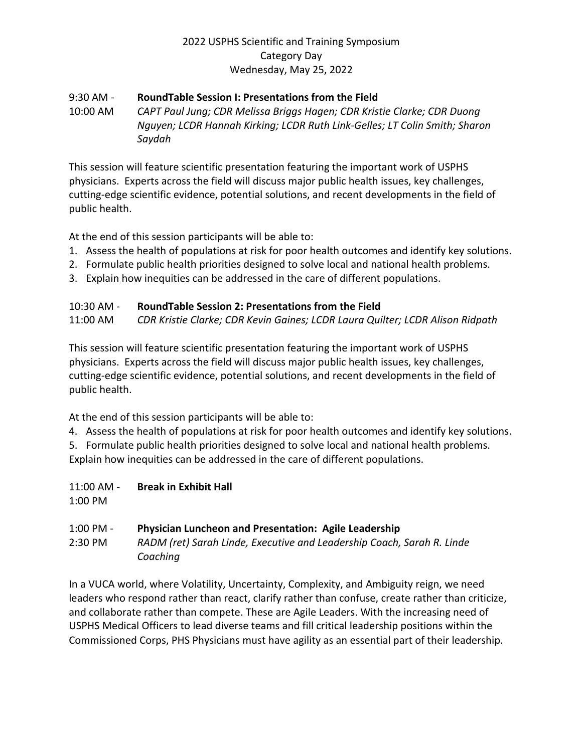#### 9:30 AM - **RoundTable Session I: Presentations from the Field**

10:00 AM *CAPT Paul Jung; CDR Melissa Briggs Hagen; CDR Kristie Clarke; CDR Duong Nguyen; LCDR Hannah Kirking; LCDR Ruth Link-Gelles; LT Colin Smith; Sharon Saydah*

This session will feature scientific presentation featuring the important work of USPHS physicians. Experts across the field will discuss major public health issues, key challenges, cutting-edge scientific evidence, potential solutions, and recent developments in the field of public health.

At the end of this session participants will be able to:

- 1. Assess the health of populations at risk for poor health outcomes and identify key solutions.
- 2. Formulate public health priorities designed to solve local and national health problems.
- 3. Explain how inequities can be addressed in the care of different populations.

### 10:30 AM - **RoundTable Session 2: Presentations from the Field**

11:00 AM *CDR Kristie Clarke; CDR Kevin Gaines; LCDR Laura Quilter; LCDR Alison Ridpath*

This session will feature scientific presentation featuring the important work of USPHS physicians. Experts across the field will discuss major public health issues, key challenges, cutting-edge scientific evidence, potential solutions, and recent developments in the field of public health.

At the end of this session participants will be able to:

4. Assess the health of populations at risk for poor health outcomes and identify key solutions.

5. Formulate public health priorities designed to solve local and national health problems. Explain how inequities can be addressed in the care of different populations.

11:00 AM - **Break in Exhibit Hall**

1:00 PM

### 1:00 PM - **Physician Luncheon and Presentation: Agile Leadership**

2:30 PM *RADM (ret) Sarah Linde, Executive and Leadership Coach, Sarah R. Linde Coaching* 

In a VUCA world, where Volatility, Uncertainty, Complexity, and Ambiguity reign, we need leaders who respond rather than react, clarify rather than confuse, create rather than criticize, and collaborate rather than compete. These are Agile Leaders. With the increasing need of USPHS Medical Officers to lead diverse teams and fill critical leadership positions within the Commissioned Corps, PHS Physicians must have agility as an essential part of their leadership.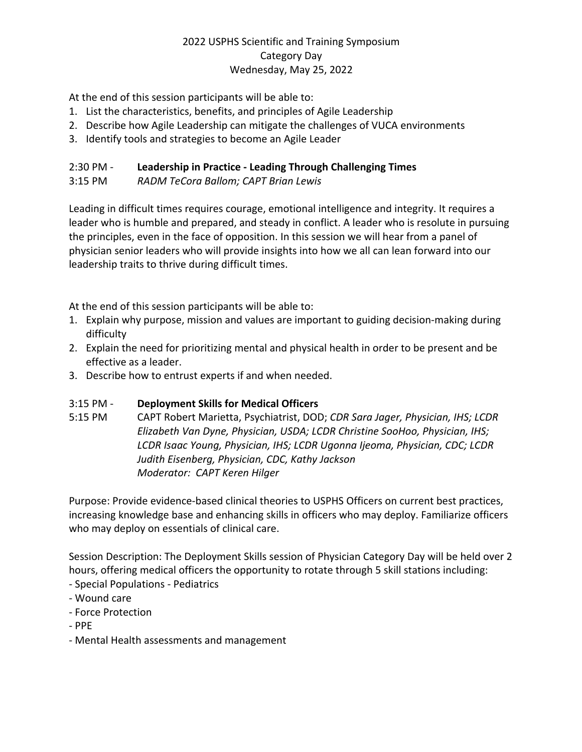At the end of this session participants will be able to:

- 1. List the characteristics, benefits, and principles of Agile Leadership
- 2. Describe how Agile Leadership can mitigate the challenges of VUCA environments
- 3. Identify tools and strategies to become an Agile Leader

## 2:30 PM - **Leadership in Practice - Leading Through Challenging Times**

3:15 PM *RADM TeCora Ballom; CAPT Brian Lewis* 

Leading in difficult times requires courage, emotional intelligence and integrity. It requires a leader who is humble and prepared, and steady in conflict. A leader who is resolute in pursuing the principles, even in the face of opposition. In this session we will hear from a panel of physician senior leaders who will provide insights into how we all can lean forward into our leadership traits to thrive during difficult times.

At the end of this session participants will be able to:

- 1. Explain why purpose, mission and values are important to guiding decision-making during difficulty
- 2. Explain the need for prioritizing mental and physical health in order to be present and be effective as a leader.
- 3. Describe how to entrust experts if and when needed.

## 3:15 PM - **Deployment Skills for Medical Officers**

5:15 PM CAPT Robert Marietta, Psychiatrist, DOD; *CDR Sara Jager, Physician, IHS; LCDR Elizabeth Van Dyne, Physician, USDA; LCDR Christine SooHoo, Physician, IHS; LCDR Isaac Young, Physician, IHS; LCDR Ugonna Ijeoma, Physician, CDC; LCDR Judith Eisenberg, Physician, CDC, Kathy Jackson Moderator: CAPT Keren Hilger*

Purpose: Provide evidence-based clinical theories to USPHS Officers on current best practices, increasing knowledge base and enhancing skills in officers who may deploy. Familiarize officers who may deploy on essentials of clinical care.

Session Description: The Deployment Skills session of Physician Category Day will be held over 2 hours, offering medical officers the opportunity to rotate through 5 skill stations including:

- Special Populations Pediatrics
- Wound care
- Force Protection
- PPE
- Mental Health assessments and management